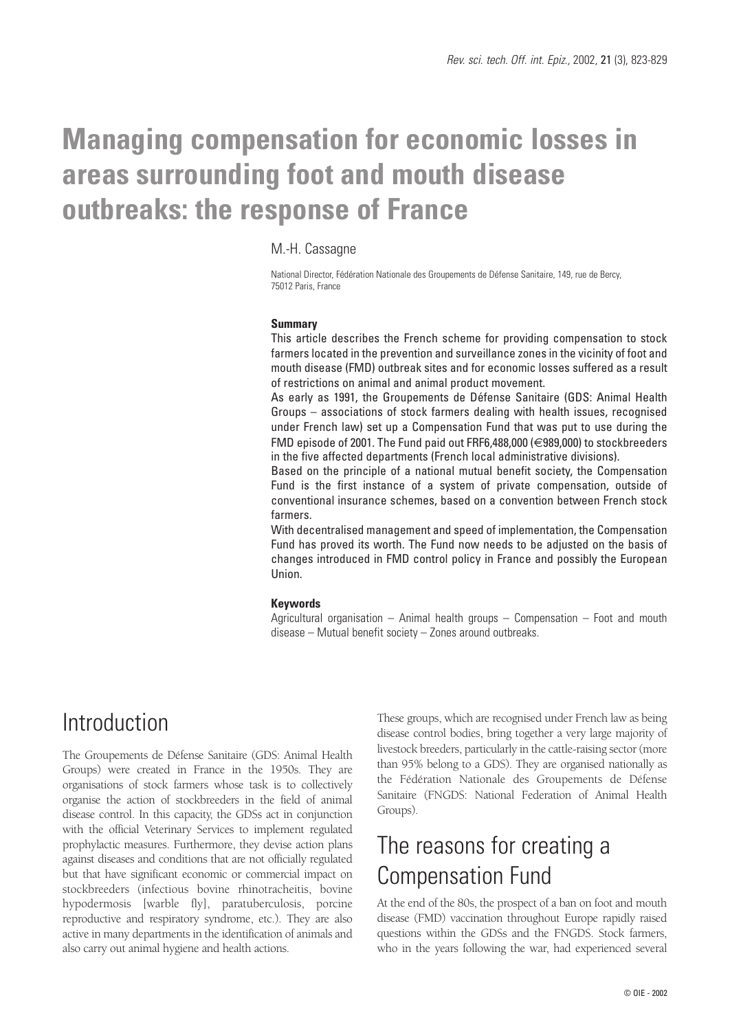# **Managing compensation for economic losses in areas surrounding foot and mouth disease outbreaks: the response of France**

#### M.-H. Cassagne

National Director, Fédération Nationale des Groupements de Défense Sanitaire, 149, rue de Bercy, 75012 Paris, France

#### **Summary**

This article describes the French scheme for providing compensation to stock farmers located in the prevention and surveillance zones in the vicinity of foot and mouth disease (FMD) outbreak sites and for economic losses suffered as a result of restrictions on animal and animal product movement.

As early as 1991, the Groupements de Défense Sanitaire (GDS: Animal Health Groups – associations of stock farmers dealing with health issues, recognised under French law) set up a Compensation Fund that was put to use during the FMD episode of 2001. The Fund paid out FRF6,488,000 (€989,000) to stockbreeders in the five affected departments (French local administrative divisions).

Based on the principle of a national mutual benefit society, the Compensation Fund is the first instance of a system of private compensation, outside of conventional insurance schemes, based on a convention between French stock farmers.

With decentralised management and speed of implementation, the Compensation Fund has proved its worth. The Fund now needs to be adjusted on the basis of changes introduced in FMD control policy in France and possibly the European Union.

#### **Keywords**

Agricultural organisation – Animal health groups – Compensation – Foot and mouth disease – Mutual benefit society – Zones around outbreaks.

### **Introduction**

The Groupements de Défense Sanitaire (GDS: Animal Health Groups) were created in France in the 1950s. They are organisations of stock farmers whose task is to collectively organise the action of stockbreeders in the field of animal disease control. In this capacity, the GDSs act in conjunction with the official Veterinary Services to implement regulated prophylactic measures. Furthermore, they devise action plans against diseases and conditions that are not officially regulated but that have significant economic or commercial impact on stockbreeders (infectious bovine rhinotracheitis, bovine hypodermosis [warble fly], paratuberculosis, porcine reproductive and respiratory syndrome, etc.). They are also active in many departments in the identification of animals and also carry out animal hygiene and health actions.

These groups, which are recognised under French law as being disease control bodies, bring together a very large majority of livestock breeders, particularly in the cattle-raising sector (more than 95% belong to a GDS). They are organised nationally as the Fédération Nationale des Groupements de Défense Sanitaire (FNGDS: National Federation of Animal Health Groups).

## The reasons for creating a Compensation Fund

At the end of the 80s, the prospect of a ban on foot and mouth disease (FMD) vaccination throughout Europe rapidly raised questions within the GDSs and the FNGDS. Stock farmers, who in the years following the war, had experienced several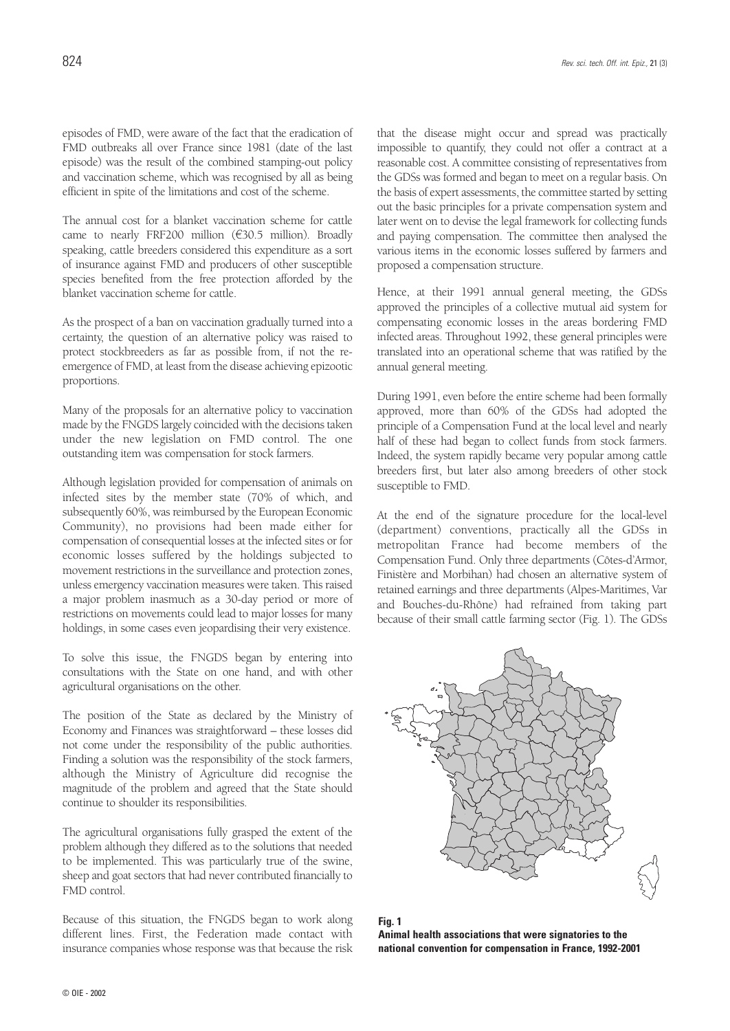episodes of FMD, were aware of the fact that the eradication of FMD outbreaks all over France since 1981 (date of the last episode) was the result of the combined stamping-out policy and vaccination scheme, which was recognised by all as being efficient in spite of the limitations and cost of the scheme.

The annual cost for a blanket vaccination scheme for cattle came to nearly FRF200 million  $(\text{\textsterling}30.5 \text{ million})$ . Broadly speaking, cattle breeders considered this expenditure as a sort of insurance against FMD and producers of other susceptible species benefited from the free protection afforded by the blanket vaccination scheme for cattle.

As the prospect of a ban on vaccination gradually turned into a certainty, the question of an alternative policy was raised to protect stockbreeders as far as possible from, if not the reemergence of FMD, at least from the disease achieving epizootic proportions.

Many of the proposals for an alternative policy to vaccination made by the FNGDS largely coincided with the decisions taken under the new legislation on FMD control. The one outstanding item was compensation for stock farmers.

Although legislation provided for compensation of animals on infected sites by the member state (70% of which, and subsequently 60%, was reimbursed by the European Economic Community), no provisions had been made either for compensation of consequential losses at the infected sites or for economic losses suffered by the holdings subjected to movement restrictions in the surveillance and protection zones, unless emergency vaccination measures were taken. This raised a major problem inasmuch as a 30-day period or more of restrictions on movements could lead to major losses for many holdings, in some cases even jeopardising their very existence.

To solve this issue, the FNGDS began by entering into consultations with the State on one hand, and with other agricultural organisations on the other.

The position of the State as declared by the Ministry of Economy and Finances was straightforward – these losses did not come under the responsibility of the public authorities. Finding a solution was the responsibility of the stock farmers, although the Ministry of Agriculture did recognise the magnitude of the problem and agreed that the State should continue to shoulder its responsibilities.

The agricultural organisations fully grasped the extent of the problem although they differed as to the solutions that needed to be implemented. This was particularly true of the swine, sheep and goat sectors that had never contributed financially to FMD control.

Because of this situation, the FNGDS began to work along different lines. First, the Federation made contact with insurance companies whose response was that because the risk

that the disease might occur and spread was practically impossible to quantify, they could not offer a contract at a reasonable cost. A committee consisting of representatives from the GDSs was formed and began to meet on a regular basis. On the basis of expert assessments, the committee started by setting out the basic principles for a private compensation system and later went on to devise the legal framework for collecting funds and paying compensation. The committee then analysed the various items in the economic losses suffered by farmers and proposed a compensation structure.

Hence, at their 1991 annual general meeting, the GDSs approved the principles of a collective mutual aid system for compensating economic losses in the areas bordering FMD infected areas. Throughout 1992, these general principles were translated into an operational scheme that was ratified by the annual general meeting.

During 1991, even before the entire scheme had been formally approved, more than 60% of the GDSs had adopted the principle of a Compensation Fund at the local level and nearly half of these had began to collect funds from stock farmers. Indeed, the system rapidly became very popular among cattle breeders first, but later also among breeders of other stock susceptible to FMD.

At the end of the signature procedure for the local-level (department) conventions, practically all the GDSs in metropolitan France had become members of the Compensation Fund. Only three departments (Côtes-d'Armor, Finistère and Morbihan) had chosen an alternative system of retained earnings and three departments (Alpes-Maritimes, Var and Bouches-du-Rhône) had refrained from taking part because of their small cattle farming sector (Fig. 1). The GDSs



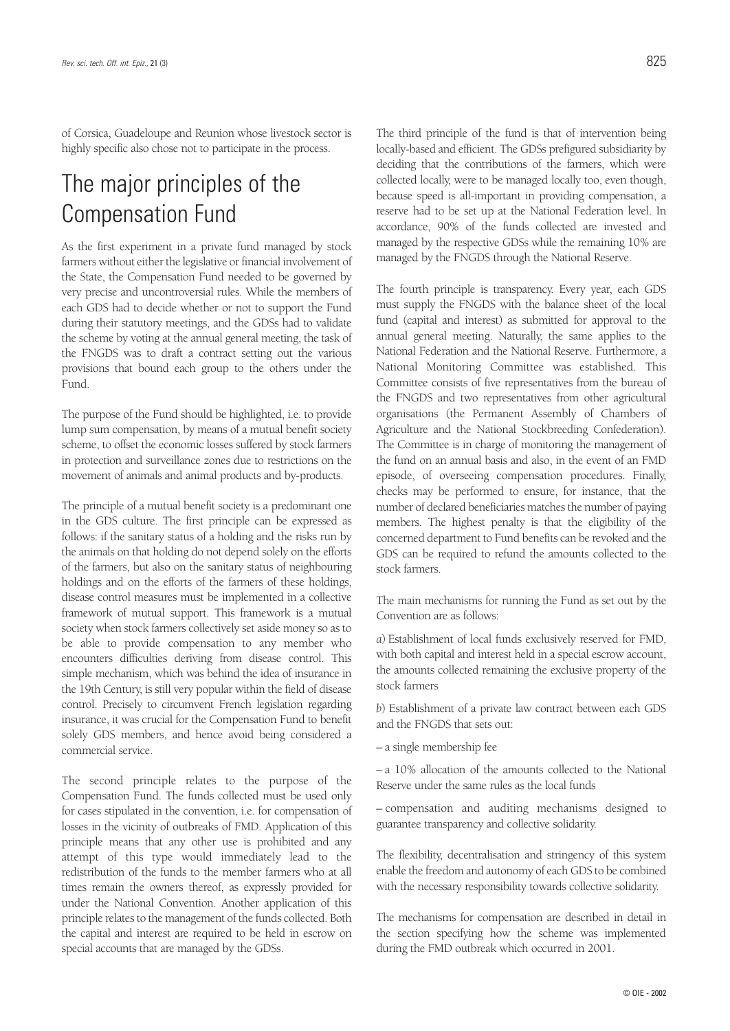of Corsica, Guadeloupe and Reunion whose livestock sector is highly specific also chose not to participate in the process.

# The major principles of the Compensation Fund

As the first experiment in a private fund managed by stock farmers without either the legislative or financial involvement of the State, the Compensation Fund needed to be governed by very precise and uncontroversial rules. While the members of each GDS had to decide whether or not to support the Fund during their statutory meetings, and the GDSs had to validate the scheme by voting at the annual general meeting, the task of the FNGDS was to draft a contract setting out the various provisions that bound each group to the others under the Fund.

The purpose of the Fund should be highlighted, i.e. to provide lump sum compensation, by means of a mutual benefit society scheme, to offset the economic losses suffered by stock farmers in protection and surveillance zones due to restrictions on the movement of animals and animal products and by-products.

The principle of a mutual benefit society is a predominant one in the GDS culture. The first principle can be expressed as follows: if the sanitary status of a holding and the risks run by the animals on that holding do not depend solely on the efforts of the farmers, but also on the sanitary status of neighbouring holdings and on the efforts of the farmers of these holdings, disease control measures must be implemented in a collective framework of mutual support. This framework is a mutual society when stock farmers collectively set aside money so as to be able to provide compensation to any member who encounters difficulties deriving from disease control. This simple mechanism, which was behind the idea of insurance in the 19th Century, is still very popular within the field of disease control. Precisely to circumvent French legislation regarding insurance, it was crucial for the Compensation Fund to benefit solely GDS members, and hence avoid being considered a commercial service.

The second principle relates to the purpose of the Compensation Fund. The funds collected must be used only for cases stipulated in the convention, i.e. for compensation of losses in the vicinity of outbreaks of FMD. Application of this principle means that any other use is prohibited and any attempt of this type would immediately lead to the redistribution of the funds to the member farmers who at all times remain the owners thereof, as expressly provided for under the National Convention. Another application of this principle relates to the management of the funds collected. Both the capital and interest are required to be held in escrow on special accounts that are managed by the GDSs.

The third principle of the fund is that of intervention being locally-based and efficient. The GDSs prefigured subsidiarity by deciding that the contributions of the farmers, which were collected locally, were to be managed locally too, even though, because speed is all-important in providing compensation, a reserve had to be set up at the National Federation level. In accordance, 90% of the funds collected are invested and managed by the respective GDSs while the remaining 10% are managed by the FNGDS through the National Reserve.

The fourth principle is transparency. Every year, each GDS must supply the FNGDS with the balance sheet of the local fund (capital and interest) as submitted for approval to the annual general meeting. Naturally, the same applies to the National Federation and the National Reserve. Furthermore, a National Monitoring Committee was established. This Committee consists of five representatives from the bureau of the FNGDS and two representatives from other agricultural organisations (the Permanent Assembly of Chambers of Agriculture and the National Stockbreeding Confederation). The Committee is in charge of monitoring the management of the fund on an annual basis and also, in the event of an FMD episode, of overseeing compensation procedures. Finally, checks may be performed to ensure, for instance, that the number of declared beneficiaries matches the number of paying members. The highest penalty is that the eligibility of the concerned department to Fund benefits can be revoked and the GDS can be required to refund the amounts collected to the stock farmers.

The main mechanisms for running the Fund as set out by the Convention are as follows:

*a*) Establishment of local funds exclusively reserved for FMD, with both capital and interest held in a special escrow account, the amounts collected remaining the exclusive property of the stock farmers

*b*) Establishment of a private law contract between each GDS and the FNGDS that sets out:

– a single membership fee

– a 10% allocation of the amounts collected to the National Reserve under the same rules as the local funds

– compensation and auditing mechanisms designed to guarantee transparency and collective solidarity.

The flexibility, decentralisation and stringency of this system enable the freedom and autonomy of each GDS to be combined with the necessary responsibility towards collective solidarity.

The mechanisms for compensation are described in detail in the section specifying how the scheme was implemented during the FMD outbreak which occurred in 2001.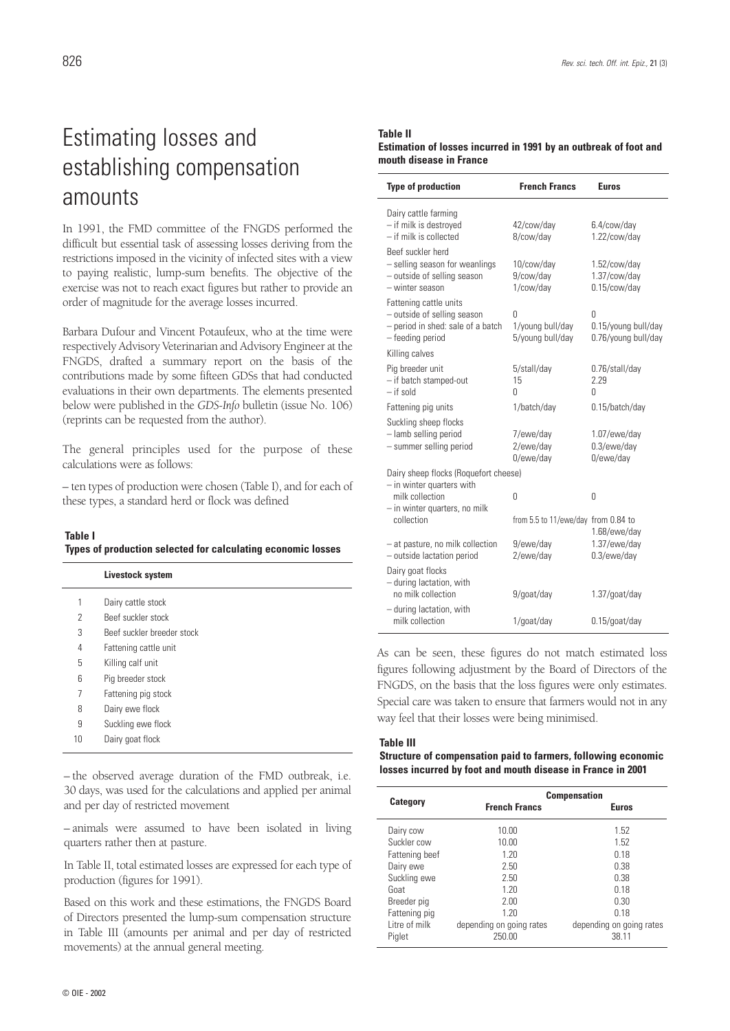### Estimating losses and establishing compensation amounts

In 1991, the FMD committee of the FNGDS performed the difficult but essential task of assessing losses deriving from the restrictions imposed in the vicinity of infected sites with a view to paying realistic, lump-sum benefits. The objective of the exercise was not to reach exact figures but rather to provide an order of magnitude for the average losses incurred.

Barbara Dufour and Vincent Potaufeux, who at the time were respectively Advisory Veterinarian and Advisory Engineer at the FNGDS, drafted a summary report on the basis of the contributions made by some fifteen GDSs that had conducted evaluations in their own departments. The elements presented below were published in the *GDS-Info* bulletin (issue No. 106) (reprints can be requested from the author).

The general principles used for the purpose of these calculations were as follows:

– ten types of production were chosen (Table I), and for each of these types, a standard herd or flock was defined

#### **Table I Types of production selected for calculating economic losses**

|    | Livestock system           |
|----|----------------------------|
| 1  | Dairy cattle stock         |
| 2  | Beef suckler stock         |
| 3  | Beef suckler breeder stock |
| 4  | Fattening cattle unit      |
| 5  | Killing calf unit          |
| 6  | Pig breeder stock          |
| 7  | Fattening pig stock        |
| 8  | Dairy ewe flock            |
| 9  | Suckling ewe flock         |
| 10 | Dairy goat flock           |

– the observed average duration of the FMD outbreak, i.e. 30 days, was used for the calculations and applied per animal and per day of restricted movement

– animals were assumed to have been isolated in living quarters rather then at pasture.

In Table II, total estimated losses are expressed for each type of production (figures for 1991).

Based on this work and these estimations, the FNGDS Board of Directors presented the lump-sum compensation structure in Table III (amounts per animal and per day of restricted movements) at the annual general meeting.

#### **Table II Estimation of losses incurred in 1991 by an outbreak of foot and mouth disease in France**

| <b>Type of production</b>                                                                                      | <b>French Francs</b>                      | <b>Euros</b>                                    |  |
|----------------------------------------------------------------------------------------------------------------|-------------------------------------------|-------------------------------------------------|--|
| Dairy cattle farming<br>- if milk is destroyed<br>- if milk is collected                                       | 42/cow/day<br>8/cow/day                   | 6.4/cow/day<br>1.22/cow/day                     |  |
| Beef suckler herd<br>- selling season for weanlings<br>- outside of selling season<br>- winter season          | 10/cow/day<br>9/cow/day<br>1/cow/day      | 1.52/cow/day<br>1.37/cow/day<br>0.15/cow/day    |  |
| Fattening cattle units<br>- outside of selling season<br>- period in shed: sale of a batch<br>- feeding period | 0<br>1/young bull/day<br>5/young bull/day | 0<br>0.15/young bull/day<br>0.76/young bull/day |  |
| Killing calves                                                                                                 |                                           |                                                 |  |
| Pig breeder unit<br>- if batch stamped-out<br>$-$ if sold                                                      | 5/stall/day<br>15<br>U                    | 0.76/stall/day<br>2.29<br>0                     |  |
| Fattening pig units                                                                                            | 1/batch/day                               | 0.15/batch/day                                  |  |
| Suckling sheep flocks<br>- lamb selling period<br>- summer selling period                                      | 7/ewe/day<br>2/ewe/day<br>0/ewe/day       | $1.07$ /ewe/day<br>$0.3$ /ewe/day<br>0/ewe/day  |  |
| Dairy sheep flocks (Roquefort cheese)                                                                          |                                           |                                                 |  |
| - in winter quarters with<br>milk collection<br>- in winter quarters, no milk                                  | $\Omega$                                  | 0                                               |  |
| collection                                                                                                     | from 5.5 to 11/ewe/day from 0.84 to       | 1.68/ewe/day                                    |  |
| - at pasture, no milk collection<br>- outside lactation period                                                 | 9/ewe/day<br>2/ewe/day                    | 1.37/ewe/day<br>$0.3$ /ewe/day                  |  |
| Dairy goat flocks<br>- during lactation, with<br>no milk collection                                            | 9/goat/day                                | $1.37/g$ oat/day                                |  |
| - during lactation, with<br>milk collection                                                                    | 1/goat/day                                | $0.15$ /goat/day                                |  |

As can be seen, these figures do not match estimated loss figures following adjustment by the Board of Directors of the FNGDS, on the basis that the loss figures were only estimates. Special care was taken to ensure that farmers would not in any way feel that their losses were being minimised.

#### **Table III**

#### **Structure of compensation paid to farmers, following economic losses incurred by foot and mouth disease in France in 2001**

|                 | <b>Compensation</b>      |                          |  |
|-----------------|--------------------------|--------------------------|--|
| <b>Category</b> | <b>French Francs</b>     | <b>Euros</b>             |  |
| Dairy cow       | 10.00                    | 1.52                     |  |
| Suckler cow     | 10.00                    | 1.52                     |  |
| Fattening beef  | 1.20                     | 0.18                     |  |
| Dairy ewe       | 2.50                     | 0.38                     |  |
| Suckling ewe    | 2.50                     | 0.38                     |  |
| Goat            | 1.20                     | 0.18                     |  |
| Breeder pig     | 2.00                     | 0.30                     |  |
| Fattening pig   | 1.20                     | 0.18                     |  |
| Litre of milk   | depending on going rates | depending on going rates |  |
| Piglet          | 250.00                   | 38.11                    |  |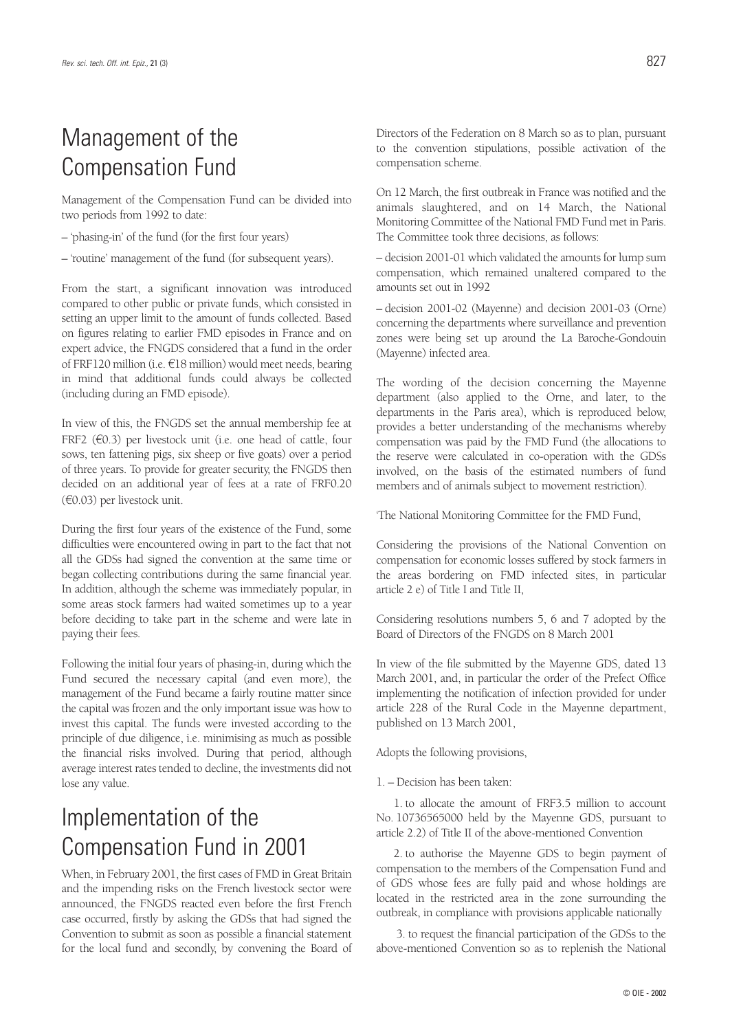## Management of the Compensation Fund

Management of the Compensation Fund can be divided into two periods from 1992 to date:

– 'phasing-in' of the fund (for the first four years)

– 'routine' management of the fund (for subsequent years).

From the start, a significant innovation was introduced compared to other public or private funds, which consisted in setting an upper limit to the amount of funds collected. Based on figures relating to earlier FMD episodes in France and on expert advice, the FNGDS considered that a fund in the order of FRF120 million (i.e.  $E18$  million) would meet needs, bearing in mind that additional funds could always be collected (including during an FMD episode).

In view of this, the FNGDS set the annual membership fee at FRF2 ( $\epsilon$ 0.3) per livestock unit (i.e. one head of cattle, four sows, ten fattening pigs, six sheep or five goats) over a period of three years. To provide for greater security, the FNGDS then decided on an additional year of fees at a rate of FRF0.20  $(60.03)$  per livestock unit.

During the first four years of the existence of the Fund, some difficulties were encountered owing in part to the fact that not all the GDSs had signed the convention at the same time or began collecting contributions during the same financial year. In addition, although the scheme was immediately popular, in some areas stock farmers had waited sometimes up to a year before deciding to take part in the scheme and were late in paying their fees.

Following the initial four years of phasing-in, during which the Fund secured the necessary capital (and even more), the management of the Fund became a fairly routine matter since the capital was frozen and the only important issue was how to invest this capital. The funds were invested according to the principle of due diligence, i.e. minimising as much as possible the financial risks involved. During that period, although average interest rates tended to decline, the investments did not lose any value.

### Implementation of the Compensation Fund in 2001

When, in February 2001, the first cases of FMD in Great Britain and the impending risks on the French livestock sector were announced, the FNGDS reacted even before the first French case occurred, firstly by asking the GDSs that had signed the Convention to submit as soon as possible a financial statement for the local fund and secondly, by convening the Board of

Directors of the Federation on 8 March so as to plan, pursuant to the convention stipulations, possible activation of the compensation scheme.

On 12 March, the first outbreak in France was notified and the animals slaughtered, and on 14 March, the National Monitoring Committee of the National FMD Fund met in Paris. The Committee took three decisions, as follows:

– decision 2001-01 which validated the amounts for lump sum compensation, which remained unaltered compared to the amounts set out in 1992

– decision 2001-02 (Mayenne) and decision 2001-03 (Orne) concerning the departments where surveillance and prevention zones were being set up around the La Baroche-Gondouin (Mayenne) infected area.

The wording of the decision concerning the Mayenne department (also applied to the Orne, and later, to the departments in the Paris area), which is reproduced below, provides a better understanding of the mechanisms whereby compensation was paid by the FMD Fund (the allocations to the reserve were calculated in co-operation with the GDSs involved, on the basis of the estimated numbers of fund members and of animals subject to movement restriction).

'The National Monitoring Committee for the FMD Fund,

Considering the provisions of the National Convention on compensation for economic losses suffered by stock farmers in the areas bordering on FMD infected sites, in particular article 2 e) of Title I and Title II,

Considering resolutions numbers 5, 6 and 7 adopted by the Board of Directors of the FNGDS on 8 March 2001

In view of the file submitted by the Mayenne GDS, dated 13 March 2001, and, in particular the order of the Prefect Office implementing the notification of infection provided for under article 228 of the Rural Code in the Mayenne department, published on 13 March 2001,

Adopts the following provisions,

1. – Decision has been taken:

1. to allocate the amount of FRF3.5 million to account No. 10736565000 held by the Mayenne GDS, pursuant to article 2.2) of Title II of the above-mentioned Convention

2. to authorise the Mayenne GDS to begin payment of compensation to the members of the Compensation Fund and of GDS whose fees are fully paid and whose holdings are located in the restricted area in the zone surrounding the outbreak, in compliance with provisions applicable nationally

3. to request the financial participation of the GDSs to the above-mentioned Convention so as to replenish the National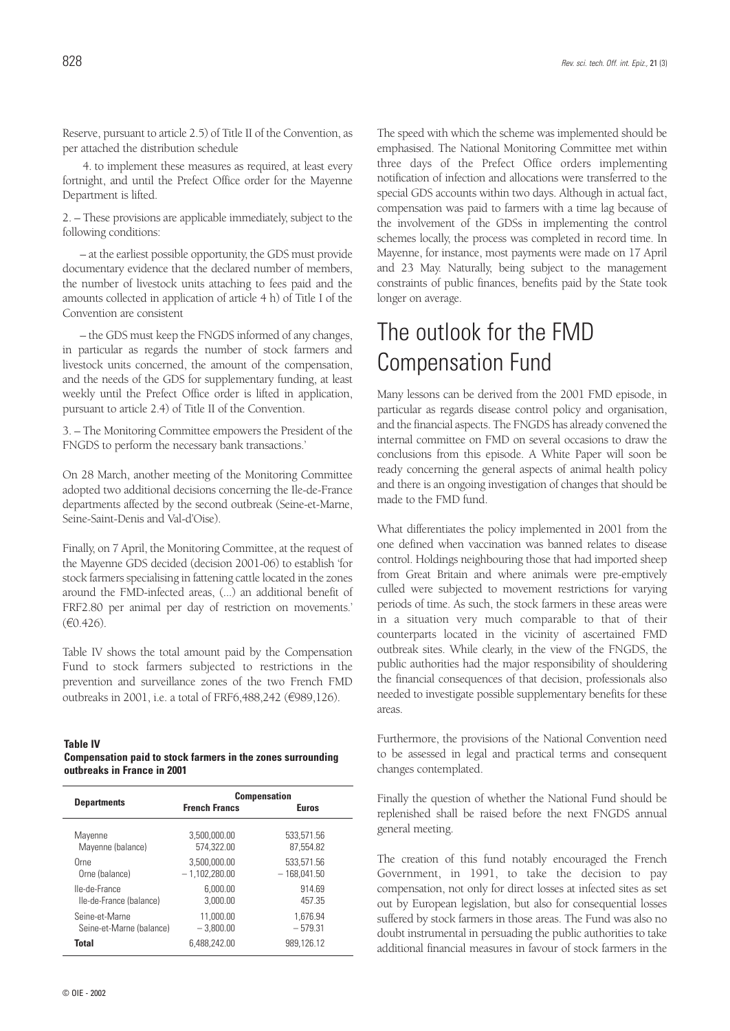Reserve, pursuant to article 2.5) of Title II of the Convention, as per attached the distribution schedule

4. to implement these measures as required, at least every fortnight, and until the Prefect Office order for the Mayenne Department is lifted.

2. – These provisions are applicable immediately, subject to the following conditions:

– at the earliest possible opportunity, the GDS must provide documentary evidence that the declared number of members, the number of livestock units attaching to fees paid and the amounts collected in application of article 4 h) of Title I of the Convention are consistent

– the GDS must keep the FNGDS informed of any changes, in particular as regards the number of stock farmers and livestock units concerned, the amount of the compensation, and the needs of the GDS for supplementary funding, at least weekly until the Prefect Office order is lifted in application, pursuant to article 2.4) of Title II of the Convention.

3. – The Monitoring Committee empowers the President of the FNGDS to perform the necessary bank transactions.'

On 28 March, another meeting of the Monitoring Committee adopted two additional decisions concerning the Ile-de-France departments affected by the second outbreak (Seine-et-Marne, Seine-Saint-Denis and Val-d'Oise).

Finally, on 7 April, the Monitoring Committee, at the request of the Mayenne GDS decided (decision 2001-06) to establish 'for stock farmers specialising in fattening cattle located in the zones around the FMD-infected areas, (...) an additional benefit of FRF2.80 per animal per day of restriction on movements.'  $(F0.426)$ .

Table IV shows the total amount paid by the Compensation Fund to stock farmers subjected to restrictions in the prevention and surveillance zones of the two French FMD outbreaks in 2001, i.e. a total of FRF6,488,242 ( $\epsilon$ 989,126).

#### **Table IV**

| Compensation paid to stock farmers in the zones surrounding |  |  |
|-------------------------------------------------------------|--|--|
| outbreaks in France in 2001                                 |  |  |

|                          | <b>Compensation</b>  |               |  |
|--------------------------|----------------------|---------------|--|
| <b>Departments</b>       | <b>French Francs</b> | <b>Euros</b>  |  |
| Mayenne                  | 3.500.000.00         | 533.571.56    |  |
| Mayenne (balance)        | 574.322.00           | 87.554.82     |  |
| Orne                     | 3.500.000.00         | 533.571.56    |  |
| Orne (balance)           | $-1,102,280.00$      | $-168.041.50$ |  |
| Ile-de-France            | 6.000.00             | 914.69        |  |
| Ile-de-France (balance)  | 3.000.00             | 457.35        |  |
| Seine-et-Marne           | 11.000.00            | 1.676.94      |  |
| Seine-et-Marne (balance) | $-3.800.00$          | $-579.31$     |  |
| <b>Total</b>             | 6.488,242.00         | 989.126.12    |  |

The speed with which the scheme was implemented should be emphasised. The National Monitoring Committee met within three days of the Prefect Office orders implementing notification of infection and allocations were transferred to the special GDS accounts within two days. Although in actual fact, compensation was paid to farmers with a time lag because of the involvement of the GDSs in implementing the control schemes locally, the process was completed in record time. In Mayenne, for instance, most payments were made on 17 April and 23 May. Naturally, being subject to the management constraints of public finances, benefits paid by the State took longer on average.

### The outlook for the FMD Compensation Fund

Many lessons can be derived from the 2001 FMD episode, in particular as regards disease control policy and organisation, and the financial aspects. The FNGDS has already convened the internal committee on FMD on several occasions to draw the conclusions from this episode. A White Paper will soon be ready concerning the general aspects of animal health policy and there is an ongoing investigation of changes that should be made to the FMD fund.

What differentiates the policy implemented in 2001 from the one defined when vaccination was banned relates to disease control. Holdings neighbouring those that had imported sheep from Great Britain and where animals were pre-emptively culled were subjected to movement restrictions for varying periods of time. As such, the stock farmers in these areas were in a situation very much comparable to that of their counterparts located in the vicinity of ascertained FMD outbreak sites. While clearly, in the view of the FNGDS, the public authorities had the major responsibility of shouldering the financial consequences of that decision, professionals also needed to investigate possible supplementary benefits for these areas.

Furthermore, the provisions of the National Convention need to be assessed in legal and practical terms and consequent changes contemplated.

Finally the question of whether the National Fund should be replenished shall be raised before the next FNGDS annual general meeting.

The creation of this fund notably encouraged the French Government, in 1991, to take the decision to pay compensation, not only for direct losses at infected sites as set out by European legislation, but also for consequential losses suffered by stock farmers in those areas. The Fund was also no doubt instrumental in persuading the public authorities to take additional financial measures in favour of stock farmers in the